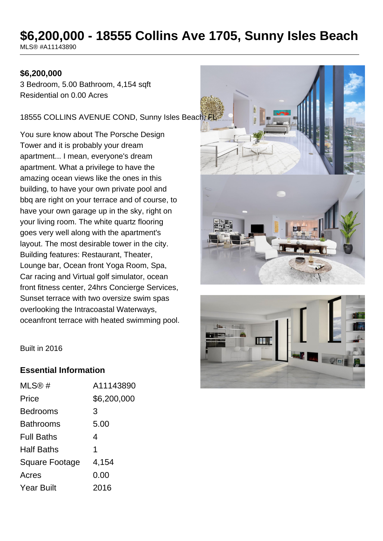# **\$6,200,000 - 18555 Collins Ave 1705, Sunny Isles Beach**

MLS® #A11143890

#### **\$6,200,000**

3 Bedroom, 5.00 Bathroom, 4,154 sqft Residential on 0.00 Acres

18555 COLLINS AVENUE COND, Sunny Isles Beach, FL

You sure know about The Porsche Design Tower and it is probably your dream apartment... I mean, everyone's dream apartment. What a privilege to have the amazing ocean views like the ones in this building, to have your own private pool and bbq are right on your terrace and of course, to have your own garage up in the sky, right on your living room. The white quartz flooring goes very well along with the apartment's layout. The most desirable tower in the city. Building features: Restaurant, Theater, Lounge bar, Ocean front Yoga Room, Spa, Car racing and Virtual golf simulator, ocean front fitness center, 24hrs Concierge Services, Sunset terrace with two oversize swim spas overlooking the Intracoastal Waterways, oceanfront terrace with heated swimming pool.





Built in 2016

#### **Essential Information**

| MLS@#             | A11143890   |
|-------------------|-------------|
| Price             | \$6,200,000 |
| <b>Bedrooms</b>   | 3           |
| <b>Bathrooms</b>  | 5.00        |
| <b>Full Baths</b> | 4           |
| Half Baths        | 1           |
| Square Footage    | 4,154       |
| Acres             | 0.00        |
| <b>Year Built</b> | 2016        |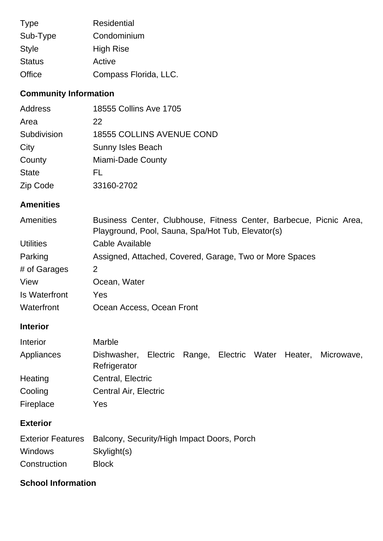| <b>Type</b>   | <b>Residential</b>    |
|---------------|-----------------------|
| Sub-Type      | Condominium           |
| <b>Style</b>  | <b>High Rise</b>      |
| <b>Status</b> | Active                |
| Office        | Compass Florida, LLC. |

# **Community Information**

| <b>Address</b> | 18555 Collins Ave 1705           |
|----------------|----------------------------------|
| Area           | 22                               |
| Subdivision    | <b>18555 COLLINS AVENUE COND</b> |
| City           | <b>Sunny Isles Beach</b>         |
| County         | Miami-Dade County                |
| <b>State</b>   | FL                               |
| Zip Code       | 33160-2702                       |

## **Amenities**

| Amenities        | Business Center, Clubhouse, Fitness Center, Barbecue, Picnic Area,<br>Playground, Pool, Sauna, Spa/Hot Tub, Elevator(s) |
|------------------|-------------------------------------------------------------------------------------------------------------------------|
|                  |                                                                                                                         |
| <b>Utilities</b> | Cable Available                                                                                                         |
| Parking          | Assigned, Attached, Covered, Garage, Two or More Spaces                                                                 |
| # of Garages     | 2                                                                                                                       |
| View             | Ocean, Water                                                                                                            |
| Is Waterfront    | Yes                                                                                                                     |
| Waterfront       | Ocean Access, Ocean Front                                                                                               |

## **Interior**

| Interior   | <b>Marble</b>                                                                       |
|------------|-------------------------------------------------------------------------------------|
| Appliances | Electric Range, Electric Water Heater,<br>Dishwasher,<br>Microwave,<br>Refrigerator |
| Heating    | Central, Electric                                                                   |
| Cooling    | <b>Central Air, Electric</b>                                                        |
| Fireplace  | Yes                                                                                 |

## **Exterior**

|                | Exterior Features Balcony, Security/High Impact Doors, Porch |
|----------------|--------------------------------------------------------------|
| <b>Windows</b> | Skylight(s)                                                  |
| Construction   | <b>Block</b>                                                 |

## **School Information**